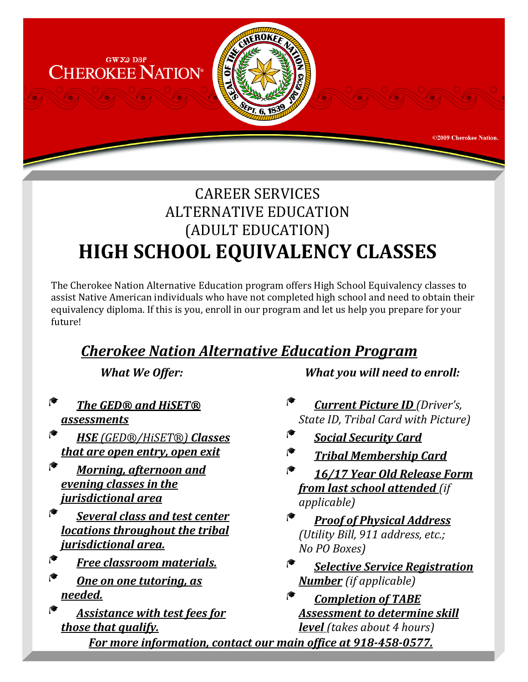

## CAREER SERVICES ALTERNATIVE EDUCATION (ADULT EDUCATION) **HIGH SCHOOL EQUIVALENCY CLASSES**

The Cherokee Nation Alternative Education program offers High School Equivalency classes to assist Native American individuals who have not completed high school and need to obtain their equivalency diploma. If this is you, enroll in our program and let us help you prepare for your future!

## *Cherokee Nation Alternative Education Program*

*What We Offer:*

- *The GED® and HiSET® assessments*
- € *HSE (GED®/HiSET®) Classes that are open entry, open exit*
- *Morning, afternoon and evening classes in the jurisdictional area*
- *Several class and test center locations throughout the tribal jurisdictional area.*
- *Free classroom materials.*
- *One on one tutoring, as needed.*
- *Assistance with test fees for those that qualify.*

 *What you will need to enroll:*

- *Current Picture ID (Driver's, State ID, Tribal Card with Picture)*
- *Social Security Card*
- *Tribal Membership Card*
- *16/17 Year Old Release Form from last school attended (if applicable)*
- *Proof of Physical Address (Utility Bill, 911 address, etc.; No PO Boxes)*
- $\bullet$ *Selective Service Registration Number (if applicable)*
- $\bullet$ *Completion of TABE Assessment to determine skill level (takes about 4 hours)For more information, contact our main office at 918-458-0577.*